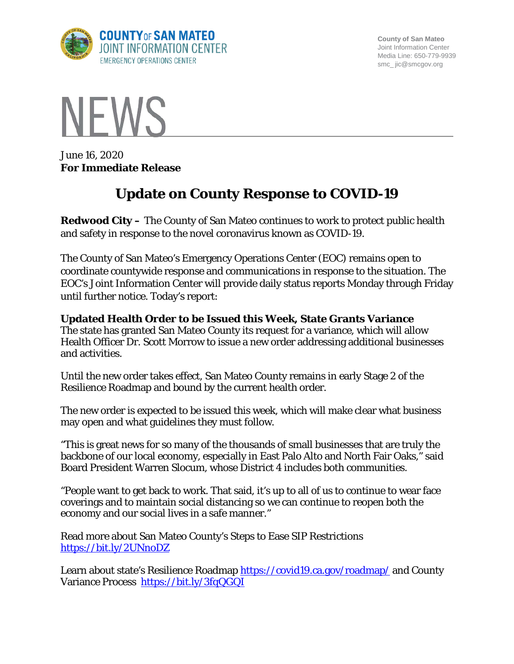

**County of San Mateo** Joint Information Center Media Line: 650-779-9939 smc\_ jic@smcgov.org



June 16, 2020 **For Immediate Release**

## **Update on County Response to COVID-19**

**Redwood City –** The County of San Mateo continues to work to protect public health and safety in response to the novel coronavirus known as COVID-19.

The County of San Mateo's Emergency Operations Center (EOC) remains open to coordinate countywide response and communications in response to the situation. The EOC's Joint Information Center will provide daily status reports Monday through Friday until further notice. Today's report:

**Updated Health Order to be Issued this Week, State Grants Variance** The state has granted San Mateo County its request for a variance, which will allow Health Officer Dr. Scott Morrow to issue a new order addressing additional businesses and activities.

Until the new order takes effect, San Mateo County remains in early Stage 2 of the Resilience Roadmap and bound by the current health order.

The new order is expected to be issued this week, which will make clear what business may open and what guidelines they must follow.

"This is great news for so many of the thousands of small businesses that are truly the backbone of our local economy, especially in East Palo Alto and North Fair Oaks," said Board President Warren Slocum, whose District 4 includes both communities.

"People want to get back to work. That said, it's up to all of us to continue to wear face coverings and to maintain social distancing so we can continue to reopen both the economy and our social lives in a safe manner."

Read more about San Mateo County's Steps to Ease SIP Restrictions <https://bit.ly/2UNnoDZ>

Learn about state's Resilience Roadmap<https://covid19.ca.gov/roadmap/> and County Variance Process <https://bit.ly/3fqQGQI>